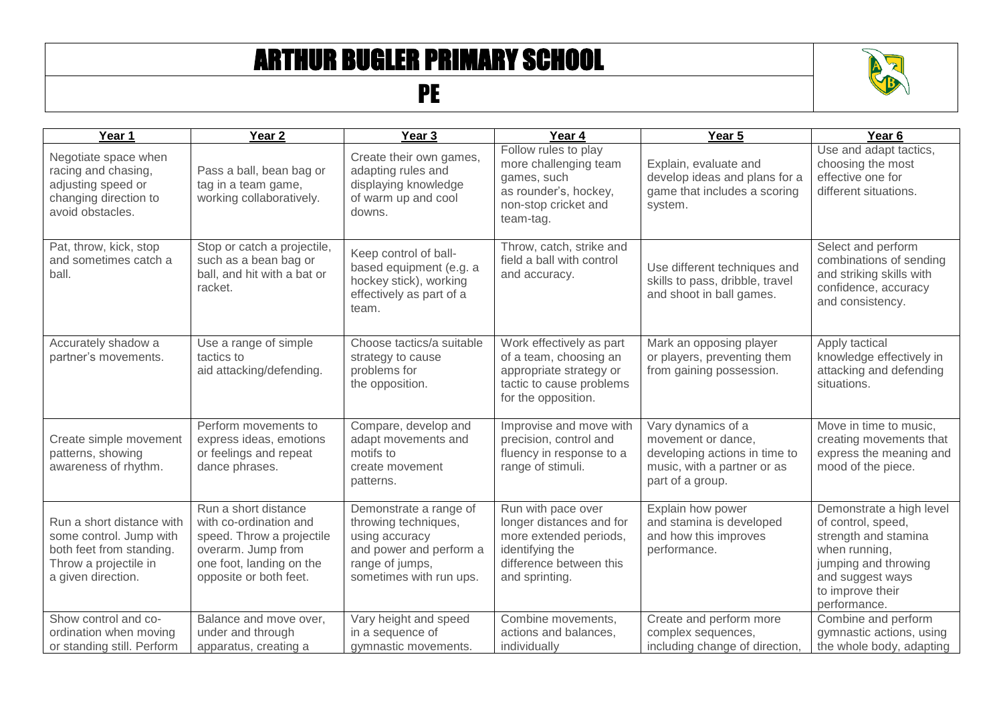## ARTHUR BUGLER PRIMARY SCHOOL

## PE



| Year 1                                                                                                                          | Year <sub>2</sub>                                                                                                                                       | Year <sub>3</sub>                                                                                                                         | Year 4                                                                                                                                   | Year 5                                                                                                                       | Year <sub>6</sub>                                                                                                                                                       |
|---------------------------------------------------------------------------------------------------------------------------------|---------------------------------------------------------------------------------------------------------------------------------------------------------|-------------------------------------------------------------------------------------------------------------------------------------------|------------------------------------------------------------------------------------------------------------------------------------------|------------------------------------------------------------------------------------------------------------------------------|-------------------------------------------------------------------------------------------------------------------------------------------------------------------------|
| Negotiate space when<br>racing and chasing,<br>adjusting speed or<br>changing direction to<br>avoid obstacles.                  | Pass a ball, bean bag or<br>tag in a team game,<br>working collaboratively.                                                                             | Create their own games,<br>adapting rules and<br>displaying knowledge<br>of warm up and cool<br>downs.                                    | Follow rules to play<br>more challenging team<br>games, such<br>as rounder's, hockey,<br>non-stop cricket and<br>team-tag.               | Explain, evaluate and<br>develop ideas and plans for a<br>game that includes a scoring<br>system.                            | Use and adapt tactics,<br>choosing the most<br>effective one for<br>different situations.                                                                               |
| Pat, throw, kick, stop<br>and sometimes catch a<br>ball.                                                                        | Stop or catch a projectile,<br>such as a bean bag or<br>ball, and hit with a bat or<br>racket.                                                          | Keep control of ball-<br>based equipment (e.g. a<br>hockey stick), working<br>effectively as part of a<br>team.                           | Throw, catch, strike and<br>field a ball with control<br>and accuracy.                                                                   | Use different techniques and<br>skills to pass, dribble, travel<br>and shoot in ball games.                                  | Select and perform<br>combinations of sending<br>and striking skills with<br>confidence, accuracy<br>and consistency.                                                   |
| Accurately shadow a<br>partner's movements.                                                                                     | Use a range of simple<br>tactics to<br>aid attacking/defending.                                                                                         | Choose tactics/a suitable<br>strategy to cause<br>problems for<br>the opposition.                                                         | Work effectively as part<br>of a team, choosing an<br>appropriate strategy or<br>tactic to cause problems<br>for the opposition.         | Mark an opposing player<br>or players, preventing them<br>from gaining possession.                                           | Apply tactical<br>knowledge effectively in<br>attacking and defending<br>situations.                                                                                    |
| Create simple movement<br>patterns, showing<br>awareness of rhythm.                                                             | Perform movements to<br>express ideas, emotions<br>or feelings and repeat<br>dance phrases.                                                             | Compare, develop and<br>adapt movements and<br>motifs to<br>create movement<br>patterns.                                                  | Improvise and move with<br>precision, control and<br>fluency in response to a<br>range of stimuli.                                       | Vary dynamics of a<br>movement or dance,<br>developing actions in time to<br>music, with a partner or as<br>part of a group. | Move in time to music,<br>creating movements that<br>express the meaning and<br>mood of the piece.                                                                      |
| Run a short distance with<br>some control. Jump with<br>both feet from standing.<br>Throw a projectile in<br>a given direction. | Run a short distance<br>with co-ordination and<br>speed. Throw a projectile<br>overarm. Jump from<br>one foot, landing on the<br>opposite or both feet. | Demonstrate a range of<br>throwing techniques,<br>using accuracy<br>and power and perform a<br>range of jumps,<br>sometimes with run ups. | Run with pace over<br>longer distances and for<br>more extended periods,<br>identifying the<br>difference between this<br>and sprinting. | Explain how power<br>and stamina is developed<br>and how this improves<br>performance.                                       | Demonstrate a high level<br>of control, speed,<br>strength and stamina<br>when running,<br>jumping and throwing<br>and suggest ways<br>to improve their<br>performance. |
| Show control and co-<br>ordination when moving<br>or standing still. Perform                                                    | Balance and move over,<br>under and through<br>apparatus, creating a                                                                                    | Vary height and speed<br>in a sequence of<br>gymnastic movements.                                                                         | Combine movements,<br>actions and balances,<br>individually                                                                              | Create and perform more<br>complex sequences,<br>including change of direction,                                              | Combine and perform<br>gymnastic actions, using<br>the whole body, adapting                                                                                             |